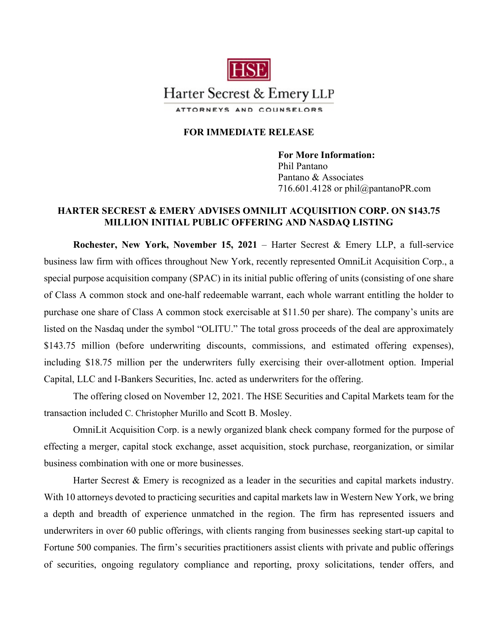

## **FOR IMMEDIATE RELEASE**

**For More Information:**  Phil Pantano Pantano & Associates 716.601.4128 or phil@pantanoPR.com

## **HARTER SECREST & EMERY ADVISES OMNILIT ACQUISITION CORP. ON \$143.75 MILLION INITIAL PUBLIC OFFERING AND NASDAQ LISTING**

**Rochester, New York, November 15, 2021** – Harter Secrest & Emery LLP, a full-service business law firm with offices throughout New York, recently represented OmniLit Acquisition Corp., a special purpose acquisition company (SPAC) in its initial public offering of units (consisting of one share of Class A common stock and one-half redeemable warrant, each whole warrant entitling the holder to purchase one share of Class A common stock exercisable at \$11.50 per share). The company's units are listed on the Nasdaq under the symbol "OLITU." The total gross proceeds of the deal are approximately \$143.75 million (before underwriting discounts, commissions, and estimated offering expenses), including \$18.75 million per the underwriters fully exercising their over-allotment option. Imperial Capital, LLC and I-Bankers Securities, Inc. acted as underwriters for the offering.

The offering closed on November 12, 2021. The HSE Securities and Capital Markets team for the transaction included C. Christopher Murillo and Scott B. Mosley.

OmniLit Acquisition Corp. is a newly organized blank check company formed for the purpose of effecting a merger, capital stock exchange, asset acquisition, stock purchase, reorganization, or similar business combination with one or more businesses.

Harter Secrest & Emery is recognized as a leader in the securities and capital markets industry. With 10 attorneys devoted to practicing securities and capital markets law in Western New York, we bring a depth and breadth of experience unmatched in the region. The firm has represented issuers and underwriters in over 60 public offerings, with clients ranging from businesses seeking start-up capital to Fortune 500 companies. The firm's securities practitioners assist clients with private and public offerings of securities, ongoing regulatory compliance and reporting, proxy solicitations, tender offers, and